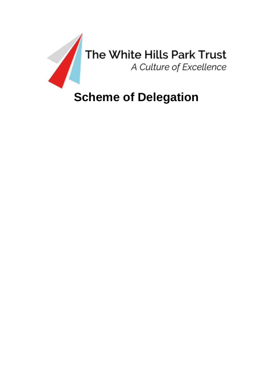

# **Scheme of Delegation**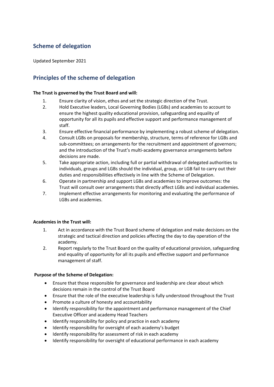# **Scheme of delegation**

Updated September 2021

# **Principles of the scheme of delegation**

# **The Trust is governed by the Trust Board and will:**

- 1. Ensure clarity of vision, ethos and set the strategic direction of the Trust.
- 2. Hold Executive leaders, Local Governing Bodies (LGBs) and academies to account to ensure the highest quality educational provision, safeguarding and equality of opportunity for all its pupils and effective support and performance management of staff.
- 3. Ensure effective financial performance by implementing a robust scheme of delegation.
- 4. Consult LGBs on proposals for membership, structure, terms of reference for LGBs and sub-committees; on arrangements for the recruitment and appointment of governors; and the introduction of the Trust's multi-academy governance arrangements before decisions are made.
- 5. Take appropriate action, including full or partial withdrawal of delegated authorities to individuals, groups and LGBs should the individual, group, or LGB fail to carry out their duties and responsibilities effectively in line with the Scheme of Delegation.
- 6. Operate in partnership and support LGBs and academies to improve outcomes: the Trust will consult over arrangements that directly affect LGBs and individual academies.
- 7. Implement effective arrangements for monitoring and evaluating the performance of LGBs and academies.

# **Academies in the Trust will:**

- 1. Act in accordance with the Trust Board scheme of delegation and make decisions on the strategic and tactical direction and policies affecting the day to day operation of the academy.
- 2. Report regularly to the Trust Board on the quality of educational provision, safeguarding and equality of opportunity for all its pupils and effective support and performance management of staff.

# **Purpose of the Scheme of Delegation:**

- Ensure that those responsible for governance and leadership are clear about which decisions remain in the control of the Trust Board
- Ensure that the role of the executive leadership is fully understood throughout the Trust
- Promote a culture of honesty and accountability
- Identify responsibility for the appointment and performance management of the Chief Executive Officer and academy Head Teachers
- Identify responsibility for policy and practice in each academy
- Identify responsibility for oversight of each academy's budget
- Identify responsibility for assessment of risk in each academy
- Identify responsibility for oversight of educational performance in each academy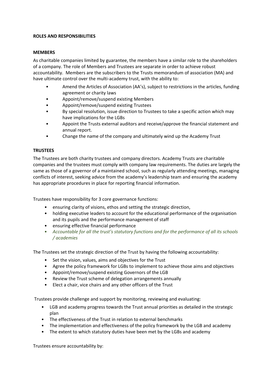### **ROLES AND RESPONSIBILITIES**

## **MEMBERS**

As charitable companies limited by guarantee, the members have a similar role to the shareholders of a company. The role of Members and Trustees are separate in order to achieve robust accountability. Members are the subscribers to the Trusts memorandum of association (MA) and have ultimate control over the multi-academy trust, with the ability to:

- Amend the Articles of Association (AA's), subject to restrictions in the articles, funding agreement or charity laws
- Appoint/remove/suspend existing Members
- Appoint/remove/suspend existing Trustees
- By special resolution, issue direction to Trustees to take a specific action which may have implications for the LGBs
- Appoint the Trusts external auditors and receive/approve the financial statement and annual report.
- Change the name of the company and ultimately wind up the Academy Trust

# **TRUSTEES**

The Trustees are both charity trustees and company directors. Academy Trusts are charitable companies and the trustees must comply with company law requirements. The duties are largely the same as those of a governor of a maintained school, such as regularly attending meetings, managing conflicts of interest, seeking advice from the academy's leadership team and ensuring the academy has appropriate procedures in place for reporting financial information.

Trustees have responsibility for 3 core governance functions:

- ensuring clarity of visions, ethos and setting the strategic direction,
- holding executive leaders to account for the educational performance of the organisation and its pupils and the performance management of staff
- ensuring effective financial performance
- *Accountable for all the trust's statutory functions and for the performance of all its schools / academies*

The Trustees set the strategic direction of the Trust by having the following accountability:

- Set the vision, values, aims and objectives for the Trust
- Agree the policy framework for LGBs to implement to achieve those aims and objectives
- Appoint/remove/suspend existing Governors of the LGB
- Review the Trust scheme of delegation arrangements annually
- Elect a chair, vice chairs and any other officers of the Trust

Trustees provide challenge and support by monitoring, reviewing and evaluating:

- LGB and academy progress towards the Trust annual priorities as detailed in the strategic plan
- The effectiveness of the Trust in relation to external benchmarks
- The implementation and effectiveness of the policy framework by the LGB and academy
- The extent to which statutory duties have been met by the LGBs and academy

Trustees ensure accountability by: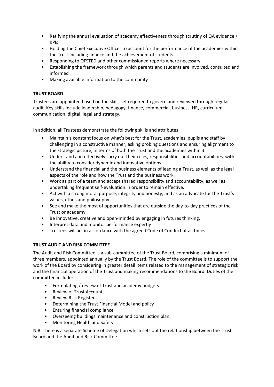- Ratifying the annual evaluation of academy effectiveness through scrutiny of QA evidence / KPIs
- Holding the Chief Executive Officer to account for the performance of the academies within the Trust including finance and the achievement of students
- Responding to OFSTED and other commissioned reports where necessary
- Establishing the framework through which parents and students are involved, consulted and informed
- Making available information to the community

# **TRUST BOARD**

Trustees are appointed based on the skills set required to govern and reviewed through regular audit. Key skills include leadership, pedagogy, finance, commercial, business, HR, curriculum, communication, digital, legal and strategy.

In addition, all Trustees demonstrate the following skills and attributes:

- Maintain a constant focus on what's best for the Trust, academies, pupils and staff by challenging in a constructive manner, asking probing questions and ensuring alignment to the strategic picture, in terms of both the Trust and the academies within it.
- Understand and effectively carry out their roles, responsibilities and accountabilities, with the ability to consider dynamic and innovative options.
- Understand the financial and the business elements of leading a Trust, as well as the legal aspects of the role and how the Trust and the business work.
- Work as part of a team and accept shared responsibility and accountability, as well as undertaking frequent self-evaluation in order to remain effective.
- Act with a strong moral purpose, integrity and honesty, and as an advocate for the Trust's values, ethos and philosophy.
- See and make the most of opportunities that are outside the day-to-day practices of the Trust or academy.
- Be innovative, creative and open-minded by engaging in futures thinking.
- Interpret data and monitor performance expertly
- Trustees will act in accordance with the agreed Code of Conduct at all times

# **TRUST AUDIT AND RISK COMMITTEE**

The Audit and Risk Committee is a sub-committee of the Trust Board, comprising a minimum of three members, appointed annually by the Trust Board. The role of the committee is to support the work of the Board by considering in greater detail items related to the management of strategic risk and the financial operation of the Trust and making recommendations to the Board. Duties of the committee include:

- Formulating / review of Trust and academy budgets
- Review of Trust Accounts
- Review Risk Register
- Determining the Trust Financial Model and policy
- Ensuring financial compliance
- Overseeing buildings maintenance and construction plan
- Monitoring Health and Safety

N.B. There is a separate Scheme of Delegation which sets out the relationship between the Trust Board and the Audit and Risk Committee.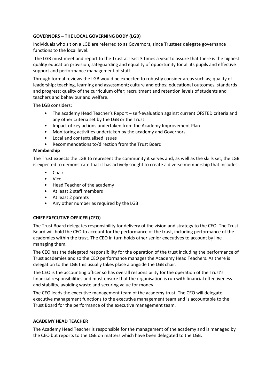# **GOVERNORS – THE LOCAL GOVERNING BODY (LGB)**

Individuals who sit on a LGB are referred to as Governors, since Trustees delegate governance functions to the local level.

The LGB must meet and report to the Trust at least 3 times a year to assure that there is the highest quality education provision, safeguarding and equality of opportunity for all its pupils and effective support and performance management of staff.

Through formal reviews the LGB would be expected to robustly consider areas such as; quality of leadership; teaching, learning and assessment; culture and ethos; educational outcomes, standards and progress; quality of the curriculum offer; recruitment and retention levels of students and teachers and behaviour and welfare.

The LGB considers:

- The academy Head Teacher's Report self-evaluation against current OFSTED criteria and any other criteria set by the LGB or the Trust
- Impact of key actions undertaken from the Academy Improvement Plan
- Monitoring activities undertaken by the academy and Governors
- Local and contextualised issues
- Recommendations to/direction from the Trust Board

# **Membership**

The Trust expects the LGB to represent the community it serves and, as well as the skills set, the LGB is expected to demonstrate that it has actively sought to create a diverse membership that includes:

- **Chair**
- Vice
- Head Teacher of the academy
- At least 2 staff members
- At least 2 parents
- Any other number as required by the LGB

# **CHIEF EXECUTIVE OFFICER (CEO)**

The Trust Board delegates responsibility for delivery of the vision and strategy to the CEO. The Trust Board will hold the CEO to account for the performance of the trust, including performance of the academies within the trust. The CEO in turn holds other senior executives to account by line managing them.

The CEO has the delegated responsibility for the operation of the trust including the performance of Trust academies and so the CEO performance manages the Academy Head Teachers. As there is delegation to the LGB this usually takes place alongside the LGB chair.

The CEO is the accounting officer so has overall responsibility for the operation of the Trust's financial responsibilities and must ensure that the organisation is run with financial effectiveness and stability, avoiding waste and securing value for money.

The CEO leads the executive management team of the academy trust. The CEO will delegate executive management functions to the executive management team and is accountable to the Trust Board for the performance of the executive management team.

# **ACADEMY HEAD TEACHER**

The Academy Head Teacher is responsible for the management of the academy and is managed by the CEO but reports to the LGB on matters which have been delegated to the LGB.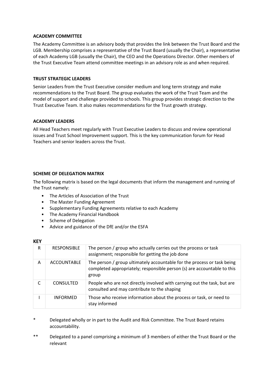# **ACADEMY COMMITTEE**

The Academy Committee is an advisory body that provides the link between the Trust Board and the LGB. Membership comprises a representative of the Trust Board (usually the Chair), a representative of each Academy LGB (usually the Chair), the CEO and the Operations Director. Other members of the Trust Executive Team attend committee meetings in an advisory role as and when required.

## **TRUST STRATEGIC LEADERS**

Senior Leaders from the Trust Executive consider medium and long term strategy and make recommendations to the Trust Board. The group evaluates the work of the Trust Team and the model of support and challenge provided to schools. This group provides strategic direction to the Trust Executive Team. It also makes recommendations for the Trust growth strategy.

#### **ACADEMY LEADERS**

All Head Teachers meet regularly with Trust Executive Leaders to discuss and review operational issues and Trust School Improvement support. This is the key communication forum for Head Teachers and senior leaders across the Trust.

# **SCHEME OF DELEGATION MATRIX**

The following matrix is based on the legal documents that inform the management and running of the Trust namely:

- The Articles of Association of the Trust
- The Master Funding Agreement
- Supplementary Funding Agreements relative to each Academy
- The Academy Financial Handbook
- Scheme of Delegation
- Advice and guidance of the DfE and/or the ESFA

#### **KEY**

| R | <b>RESPONSIBLE</b> | The person / group who actually carries out the process or task<br>assignment; responsible for getting the job done                                         |
|---|--------------------|-------------------------------------------------------------------------------------------------------------------------------------------------------------|
| A | <b>ACCOUNTABLE</b> | The person / group ultimately accountable for the process or task being<br>completed appropriately; responsible person (s) are accountable to this<br>group |
|   | <b>CONSULTED</b>   | People who are not directly involved with carrying out the task, but are<br>consulted and may contribute to the shaping                                     |
|   | <b>INFORMED</b>    | Those who receive information about the process or task, or need to<br>stay informed                                                                        |

- \* Delegated wholly or in part to the Audit and Risk Committee. The Trust Board retains accountability.
- \*\* Delegated to a panel comprising a minimum of 3 members of either the Trust Board or the relevant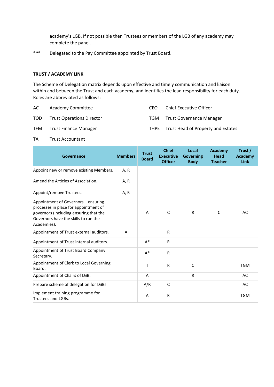academy's LGB. If not possible then Trustees or members of the LGB of any academy may complete the panel.

\*\*\* Delegated to the Pay Committee appointed by Trust Board.

# **TRUST / ACADEMY LINK**

The Scheme of Delegation matrix depends upon effective and timely communication and liaison within and between the Trust and each academy, and identifies the lead responsibility for each duty. Roles are abbreviated as follows:

| AC. | Academy Committee                | CFO. | Chief Executive Officer                 |
|-----|----------------------------------|------|-----------------------------------------|
| TOD | <b>Trust Operations Director</b> | TGM  | <b>Trust Governance Manager</b>         |
| TFM | Trust Finance Manager            |      | THPE Trust Head of Property and Estates |

TA Trust Accountant

| Governance                                                                                                                                                                    | <b>Members</b> | <b>Trust</b><br><b>Board</b> | <b>Chief</b><br><b>Executive</b><br><b>Officer</b> | Local<br><b>Governing</b><br><b>Body</b> | <b>Academy</b><br><b>Head</b><br><b>Teacher</b> | Trust /<br>Academy<br>Link |
|-------------------------------------------------------------------------------------------------------------------------------------------------------------------------------|----------------|------------------------------|----------------------------------------------------|------------------------------------------|-------------------------------------------------|----------------------------|
| Appoint new or remove existing Members.                                                                                                                                       | A, R           |                              |                                                    |                                          |                                                 |                            |
| Amend the Articles of Association.                                                                                                                                            | A, R           |                              |                                                    |                                          |                                                 |                            |
| Appoint/remove Trustees.                                                                                                                                                      | A, R           |                              |                                                    |                                          |                                                 |                            |
| Appointment of Governors - ensuring<br>processes in place for appointment of<br>governors (including ensuring that the<br>Governors have the skills to run the<br>Academies). |                | A                            | $\mathsf{C}$                                       | $\mathsf{R}$                             | C                                               | AC                         |
| Appointment of Trust external auditors.                                                                                                                                       | A              |                              | $\mathsf{R}$                                       |                                          |                                                 |                            |
| Appointment of Trust internal auditors.                                                                                                                                       |                | $A^*$                        | R                                                  |                                          |                                                 |                            |
| Appointment of Trust Board Company<br>Secretary.                                                                                                                              |                | $A^*$                        | $\mathsf{R}$                                       |                                          |                                                 |                            |
| Appointment of Clerk to Local Governing<br>Board.                                                                                                                             |                |                              | $\mathsf{R}$                                       | $\mathsf{C}$                             |                                                 | <b>TGM</b>                 |
| Appointment of Chairs of LGB.                                                                                                                                                 |                | A                            |                                                    | R                                        |                                                 | AC                         |
| Prepare scheme of delegation for LGBs.                                                                                                                                        |                | A/R                          | $\mathsf{C}$                                       |                                          |                                                 | AC                         |
| Implement training programme for<br>Trustees and LGBs.                                                                                                                        |                | A                            | R                                                  |                                          |                                                 | <b>TGM</b>                 |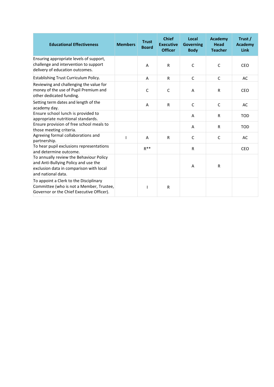| <b>Educational Effectiveness</b>                                                                                                                 | <b>Members</b>           | <b>Trust</b><br><b>Board</b> | <b>Chief</b><br><b>Executive</b><br><b>Officer</b> | Local<br><b>Governing</b><br><b>Body</b> | <b>Academy</b><br><b>Head</b><br><b>Teacher</b> | Trust /<br><b>Academy</b><br><b>Link</b> |
|--------------------------------------------------------------------------------------------------------------------------------------------------|--------------------------|------------------------------|----------------------------------------------------|------------------------------------------|-------------------------------------------------|------------------------------------------|
| Ensuring appropriate levels of support,<br>challenge and intervention to support<br>delivery of education outcomes.                              |                          | A                            | $\mathsf{R}$                                       | C                                        | C                                               | <b>CEO</b>                               |
| Establishing Trust Curriculum Policy.                                                                                                            |                          | A                            | $\mathsf{R}$                                       | $\mathsf{C}$                             | $\mathsf{C}$                                    | AC                                       |
| Reviewing and challenging the value for<br>money of the use of Pupil Premium and<br>other dedicated funding.                                     |                          | C                            | C                                                  | A                                        | $\mathsf{R}$                                    | CEO                                      |
| Setting term dates and length of the<br>academy day.                                                                                             |                          | A                            | $\mathsf{R}$                                       | $\mathsf{C}$                             | $\mathsf{C}$                                    | <b>AC</b>                                |
| Ensure school lunch is provided to<br>appropriate nutritional standards.                                                                         |                          |                              |                                                    | A                                        | $\mathsf{R}$                                    | <b>TOD</b>                               |
| Ensure provision of free school meals to<br>those meeting criteria.                                                                              |                          |                              |                                                    | A                                        | $\mathsf{R}$                                    | <b>TOD</b>                               |
| Agreeing formal collaborations and<br>partnership.                                                                                               | $\overline{\phantom{a}}$ | A                            | $\mathsf{R}$                                       | C                                        | $\mathsf{C}$                                    | AC                                       |
| To hear pupil exclusions representations<br>and determine outcome.                                                                               |                          | $R^{**}$                     |                                                    | R                                        |                                                 | <b>CEO</b>                               |
| To annually review the Behaviour Policy<br>and Anti-Bullying Policy and use the<br>exclusion data in comparison with local<br>and national data. |                          |                              |                                                    | A                                        | $\mathsf{R}$                                    |                                          |
| To appoint a Clerk to the Disciplinary<br>Committee (who is not a Member, Trustee,<br>Governor or the Chief Executive Officer).                  |                          |                              | $\mathsf{R}$                                       |                                          |                                                 |                                          |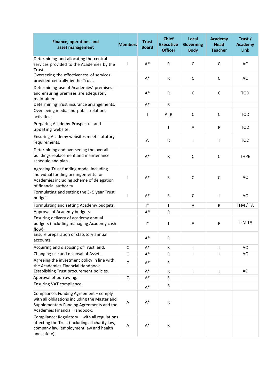| <b>Finance, operations and</b><br>asset management        | <b>Members</b> | <b>Trust</b><br><b>Board</b> | <b>Chief</b><br><b>Executive</b><br><b>Officer</b> | Local<br><b>Governing</b><br><b>Body</b> | <b>Academy</b><br><b>Head</b><br><b>Teacher</b> | Trust /<br>Academy<br><b>Link</b> |
|-----------------------------------------------------------|----------------|------------------------------|----------------------------------------------------|------------------------------------------|-------------------------------------------------|-----------------------------------|
| Determining and allocating the central                    |                |                              |                                                    |                                          |                                                 |                                   |
| services provided to the Academies by the                 | T              | $A^*$                        | R                                                  | $\mathsf{C}$                             | $\mathsf{C}$                                    | AC                                |
| Trust.                                                    |                |                              |                                                    |                                          |                                                 |                                   |
| Overseeing the effectiveness of services                  |                |                              |                                                    |                                          |                                                 |                                   |
| provided centrally by the Trust.                          |                | $A^*$                        | R                                                  | $\mathsf{C}$                             | $\mathsf C$                                     | AC                                |
| Determining use of Academies' premises                    |                |                              |                                                    |                                          |                                                 |                                   |
| and ensuring premises are adequately                      |                | $A^*$                        | $\mathsf{R}$                                       | C                                        | C                                               | <b>TOD</b>                        |
| maintained.                                               |                |                              |                                                    |                                          |                                                 |                                   |
| Determining Trust insurance arrangements.                 |                | $A^*$                        | R                                                  |                                          |                                                 |                                   |
| Overseeing media and public relations                     |                |                              |                                                    |                                          |                                                 |                                   |
| activities.                                               |                | T                            | A, R                                               | $\mathsf{C}$                             | $\mathsf{C}$                                    | TOD                               |
| Preparing Academy Prospectus and                          |                |                              |                                                    |                                          |                                                 |                                   |
| updating website.                                         |                |                              | T                                                  | Α                                        | R                                               | <b>TOD</b>                        |
|                                                           |                |                              |                                                    |                                          |                                                 |                                   |
| Ensuring Academy websites meet statutory<br>requirements. |                | Α                            | $\mathsf R$                                        | L                                        | $\overline{1}$                                  | <b>TOD</b>                        |
|                                                           |                |                              |                                                    |                                          |                                                 |                                   |
| Determining and overseeing the overall                    |                |                              |                                                    |                                          |                                                 |                                   |
| buildings replacement and maintenance                     |                | $A^*$                        | $\mathsf{R}$                                       | C                                        | C                                               | <b>THPE</b>                       |
| schedule and plan.                                        |                |                              |                                                    |                                          |                                                 |                                   |
| Agreeing Trust funding model including                    |                |                              |                                                    |                                          |                                                 |                                   |
| individual funding arrangements for                       | $\mathsf{l}$   | $A^*$                        | R                                                  | $\mathsf{C}$                             | $\mathsf C$                                     | AC                                |
| Academies including scheme of delegation                  |                |                              |                                                    |                                          |                                                 |                                   |
| of financial authority.                                   |                |                              |                                                    |                                          |                                                 |                                   |
| Formulating and setting the 3-5 year Trust                |                |                              |                                                    |                                          |                                                 |                                   |
| budget                                                    | $\mathbf{I}$   | $A^*$                        | R                                                  | C                                        | $\overline{1}$                                  | AC                                |
| Formulating and setting Academy budgets.                  |                | $\mathsf{I}^*$               | L                                                  | Α                                        | R                                               | TFM / TA                          |
| Approval of Academy budgets.                              |                | $A^*$                        | $\mathsf{R}$                                       |                                          |                                                 |                                   |
| Ensuring delivery of academy annual                       |                |                              |                                                    |                                          |                                                 |                                   |
| budgets (including managing Academy cash                  |                | $\mathsf{I}^*$               | L                                                  | A                                        | R                                               | <b>TFM TA</b>                     |
| flow).                                                    |                |                              |                                                    |                                          |                                                 |                                   |
| Ensure preparation of statutory annual                    |                |                              |                                                    |                                          |                                                 |                                   |
| accounts.                                                 |                | $A^*$                        | R                                                  |                                          |                                                 |                                   |
| Acquiring and disposing of Trust land.                    | $\mathsf{C}$   | $A^*$                        | ${\sf R}$                                          |                                          | ı                                               | AC                                |
| Changing use and disposal of Assets.                      | C              | $A^*$                        | $\mathsf R$                                        |                                          | ı                                               | AC                                |
| Agreeing the investment policy in line with               |                |                              |                                                    |                                          |                                                 |                                   |
| the Academies Financial Handbook.                         | $\mathsf{C}$   | $A^*$                        | R                                                  |                                          |                                                 |                                   |
| Establishing Trust procurement policies.                  |                | $A^*$                        | $\mathsf R$                                        |                                          | I                                               | AC                                |
| Approval of borrowing.                                    | $\mathsf C$    | $A^*$                        | R                                                  |                                          |                                                 |                                   |
| Ensuring VAT compliance.                                  |                |                              |                                                    |                                          |                                                 |                                   |
|                                                           |                | $A^*$                        | R                                                  |                                          |                                                 |                                   |
| Compliance: Funding Agreement - comply                    |                |                              |                                                    |                                          |                                                 |                                   |
| with all obligations including the Master and             |                | $\mathsf{A}^*$               |                                                    |                                          |                                                 |                                   |
| Supplementary Funding Agreements and the                  | A              |                              | R                                                  |                                          |                                                 |                                   |
| Academies Financial Handbook.                             |                |                              |                                                    |                                          |                                                 |                                   |
| Compliance: Regulatory - with all regulations             |                |                              |                                                    |                                          |                                                 |                                   |
| affecting the Trust (including all charity law,           |                |                              |                                                    |                                          |                                                 |                                   |
| company law, employment law and health                    | A              | $A^*$                        | ${\sf R}$                                          |                                          |                                                 |                                   |
| and safety).                                              |                |                              |                                                    |                                          |                                                 |                                   |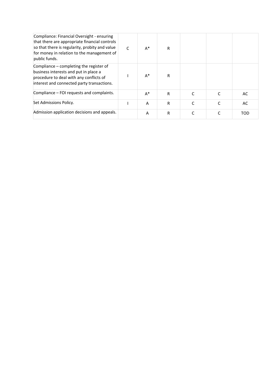| Compliance: Financial Oversight - ensuring<br>that there are appropriate financial controls<br>so that there is regularity, probity and value<br>for money in relation to the management of<br>public funds. | C | $A^*$ | R |  |            |
|--------------------------------------------------------------------------------------------------------------------------------------------------------------------------------------------------------------|---|-------|---|--|------------|
| Compliance – completing the register of<br>business interests and put in place a<br>procedure to deal with any conflicts of<br>interest and connected party transactions.                                    |   | $A^*$ | R |  |            |
| Compliance - FOI requests and complaints.                                                                                                                                                                    |   | $A^*$ | R |  | AC         |
| Set Admissions Policy.                                                                                                                                                                                       |   | A     | R |  | AC         |
| Admission application decisions and appeals.                                                                                                                                                                 |   | A     | R |  | <b>TOD</b> |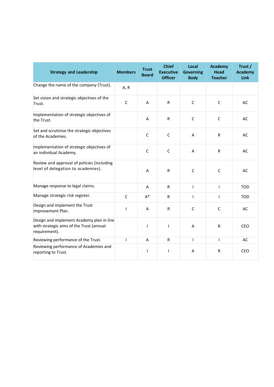| <b>Strategy and Leadership</b>                                                                         | <b>Members</b> | <b>Trust</b><br><b>Board</b> | <b>Chief</b><br><b>Executive</b><br><b>Officer</b> | Local<br><b>Governing</b><br><b>Body</b> | <b>Academy</b><br><b>Head</b><br><b>Teacher</b> | Trust /<br><b>Academy</b><br><b>Link</b> |
|--------------------------------------------------------------------------------------------------------|----------------|------------------------------|----------------------------------------------------|------------------------------------------|-------------------------------------------------|------------------------------------------|
| Change the name of the company (Trust).                                                                | A, R           |                              |                                                    |                                          |                                                 |                                          |
| Set vision and strategic objectives of the<br>Trust.                                                   | $\mathsf{C}$   | A                            | R                                                  | $\mathsf{C}$                             | $\mathsf{C}$                                    | <b>AC</b>                                |
| Implementation of strategic objectives of<br>the Trust.                                                |                | A                            | R                                                  | $\mathsf{C}$                             | C                                               | AC                                       |
| Set and scrutinise the strategic objectives<br>of the Academies.                                       |                | $\mathsf{C}$                 | $\mathsf{C}$                                       | A                                        | R                                               | AC                                       |
| Implementation of strategic objectives of<br>an individual Academy.                                    |                | $\mathsf{C}$                 | $\mathsf{C}$                                       | A                                        | $\mathsf{R}$                                    | AC                                       |
| Review and approval of policies (including<br>level of delegation to academies).                       |                | A                            | R                                                  | $\mathsf{C}$                             | C                                               | AC                                       |
| Manage response to legal claims.                                                                       |                | A                            | $\mathsf{R}$                                       | $\mathsf{I}$                             | T                                               | <b>TOD</b>                               |
| Manage strategic risk register.                                                                        | $\mathsf{C}$   | $A^*$                        | R                                                  | ı                                        | 1                                               | <b>TOD</b>                               |
| Design and implement the Trust<br>Improvement Plan.                                                    | $\mathbf{I}$   | A                            | $\mathsf{R}$                                       | $\mathsf{C}$                             | $\mathsf{C}$                                    | AC                                       |
| Design and implement Academy plan in line<br>with strategic aims of the Trust (annual<br>requirement). |                | 1                            | T                                                  | A                                        | R                                               | CEO                                      |
| Reviewing performance of the Trust.                                                                    | $\mathbf{I}$   | A                            | $\mathsf{R}$                                       | $\mathsf{I}$                             | $\mathbf{I}$                                    | <b>AC</b>                                |
| Reviewing performance of Academies and<br>reporting to Trust.                                          |                | $\mathsf{I}$                 | T                                                  | A                                        | $\mathsf{R}$                                    | <b>CEO</b>                               |